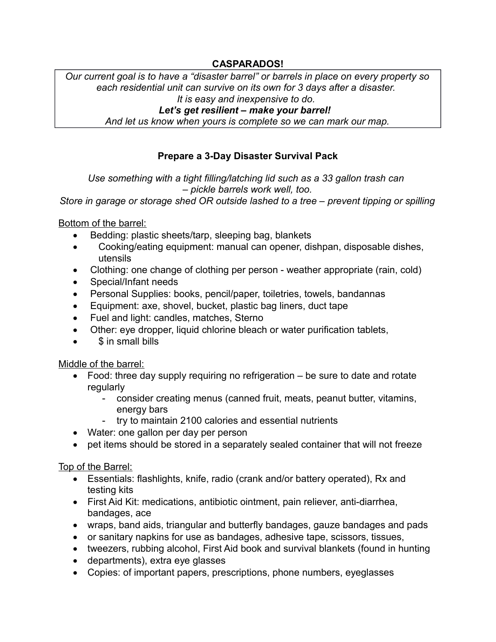## **CASPARADOS!**

*Our current goal is to have a "disaster barrel" or barrels in place on every property so each residential unit can survive on its own for 3 days after a disaster. It is easy and inexpensive to do.* 

*Let's get resilient – make your barrel!* 

*And let us know when yours is complete so we can mark our map.*

# **Prepare a 3-Day Disaster Survival Pack**

*Use something with a tight filling/latching lid such as a 33 gallon trash can – pickle barrels work well, too.*

*Store in garage or storage shed OR outside lashed to a tree – prevent tipping or spilling*

Bottom of the barrel:

- Bedding: plastic sheets/tarp, sleeping bag, blankets
- Cooking/eating equipment: manual can opener, dishpan, disposable dishes, utensils
- Clothing: one change of clothing per person weather appropriate (rain, cold)
- Special/Infant needs
- Personal Supplies: books, pencil/paper, toiletries, towels, bandannas
- Equipment: axe, shovel, bucket, plastic bag liners, duct tape
- Fuel and light: candles, matches, Sterno
- Other: eye dropper, liquid chlorine bleach or water purification tablets,
- \$ in small bills

Middle of the barrel:

- Food: three day supply requiring no refrigeration be sure to date and rotate regularly
	- consider creating menus (canned fruit, meats, peanut butter, vitamins, energy bars
	- try to maintain 2100 calories and essential nutrients
- Water: one gallon per day per person
- pet items should be stored in a separately sealed container that will not freeze

Top of the Barrel:

- Essentials: flashlights, knife, radio (crank and/or battery operated), Rx and testing kits
- First Aid Kit: medications, antibiotic ointment, pain reliever, anti-diarrhea, bandages, ace
- wraps, band aids, triangular and butterfly bandages, gauze bandages and pads
- or sanitary napkins for use as bandages, adhesive tape, scissors, tissues,
- tweezers, rubbing alcohol, First Aid book and survival blankets (found in hunting
- departments), extra eye glasses
- Copies: of important papers, prescriptions, phone numbers, eyeglasses